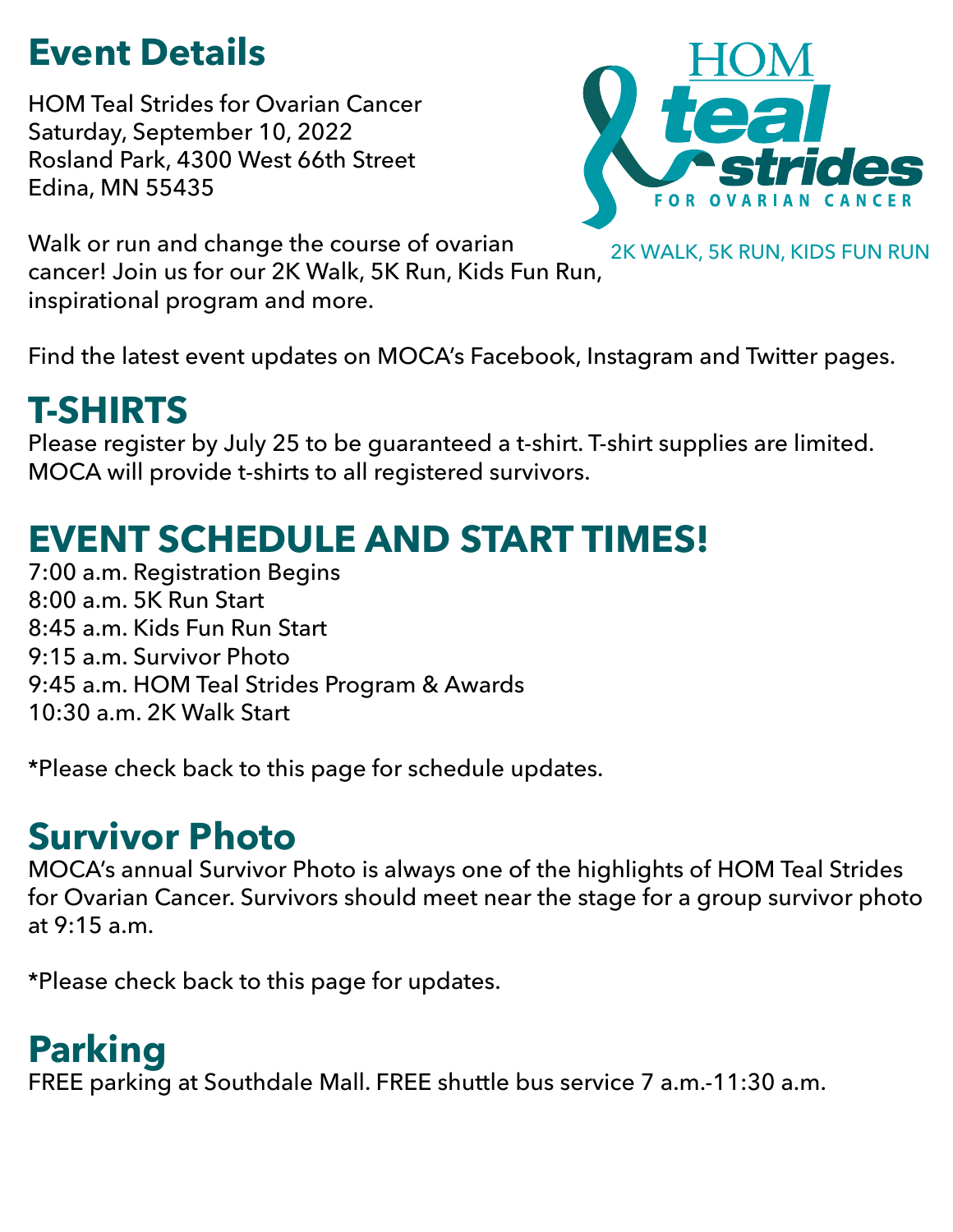## **Event Details**

HOM Teal Strides for Ovarian Cancer Saturday, September 10, 2022 Rosland Park, 4300 West 66th Street Edina, MN 55435



Walk or run and change the course of ovarian

2K WALK, 5K RUN, KIDS FUN RUN

cancer! Join us for our 2K Walk, 5K Run, Kids Fun Run, inspirational program and more.

Find the latest event updates on MOCA's Facebook, Instagram and Twitter pages.

# **T-SHIRTS**

Please register by July 25 to be guaranteed a t-shirt. T-shirt supplies are limited. MOCA will provide t-shirts to all registered survivors.

# **EVENT SCHEDULE AND START TIMES!**

7:00 a.m. Registration Begins 8:00 a.m. 5K Run Start 8:45 a.m. Kids Fun Run Start 9:15 a.m. Survivor Photo 9:45 a.m. HOM Teal Strides Program & Awards 10:30 a.m. 2K Walk Start

\*Please check back to this page for schedule updates.

# **Survivor Photo**

MOCA's annual Survivor Photo is always one of the highlights of HOM Teal Strides for Ovarian Cancer. Survivors should meet near the stage for a group survivor photo at 9:15 a.m.

\*Please check back to this page for updates.

# **Parking**

FREE parking at Southdale Mall. FREE shuttle bus service 7 a.m.-11:30 a.m.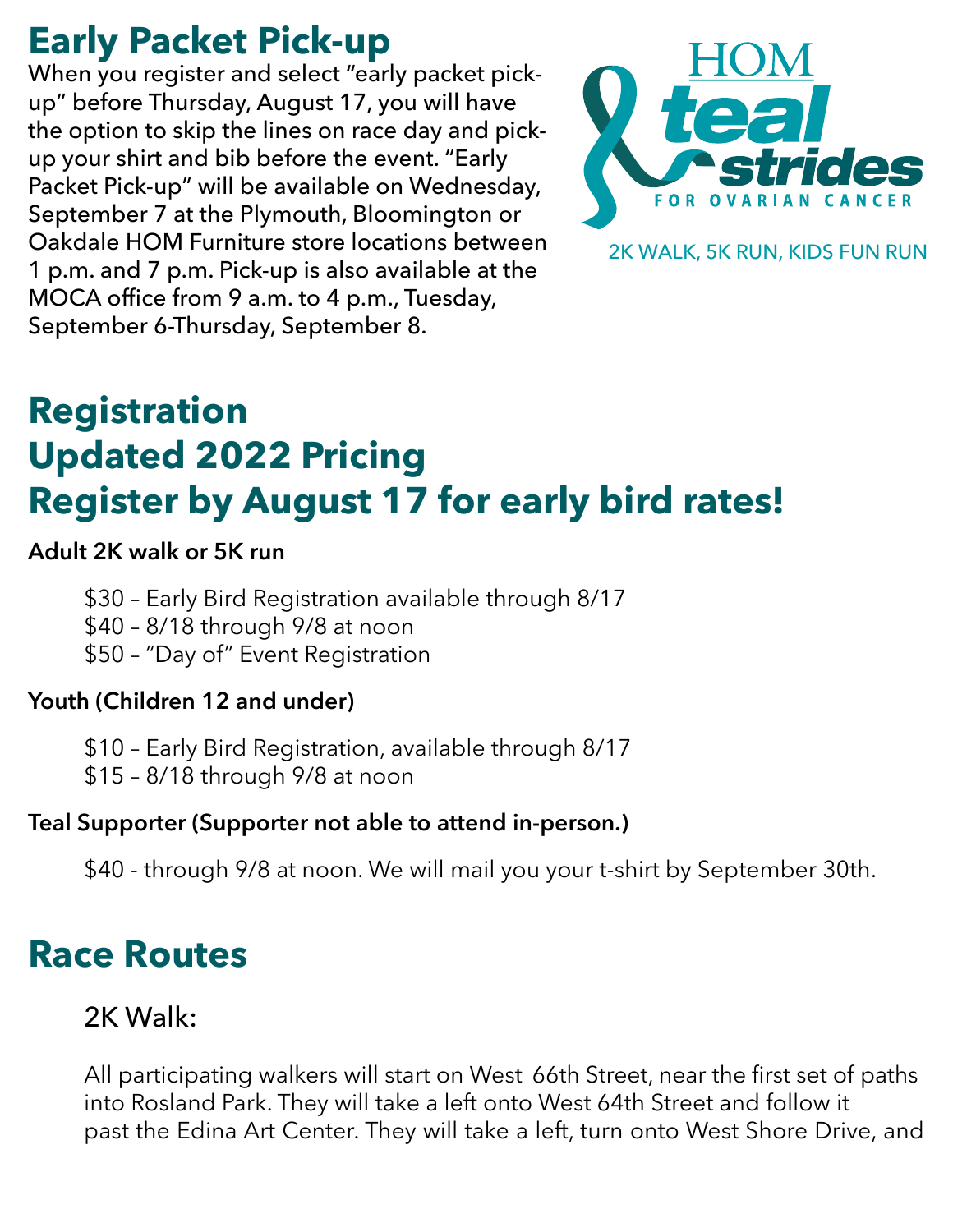### **Early Packet Pick-up**

When you register and select "early packet pickup" before Thursday, August 17, you will have the option to skip the lines on race day and pickup your shirt and bib before the event. "Early Packet Pick-up" will be available on Wednesday, September 7 at the Plymouth, Bloomington or Oakdale HOM Furniture store locations between 1 p.m. and 7 p.m. Pick-up is also available at the MOCA office from 9 a.m. to 4 p.m., Tuesday, September 6-Thursday, September 8.



2K WALK, 5K RUN, KIDS FUN RUN

## **Registration Updated 2022 Pricing Register by August 17 for early bird rates!**

#### **Adult 2K walk or 5K run**

- \$30 Early Bird Registration available through 8/17
- \$40 8/18 through 9/8 at noon
- \$50 "Day of" Event Registration

#### **Youth (Children 12 and under)**

- \$10 Early Bird Registration, available through 8/17
- \$15 8/18 through 9/8 at noon

#### **Teal Supporter (Supporter not able to attend in-person.)**

\$40 - through 9/8 at noon. We will mail you your t-shirt by September 30th.

### **Race Routes**

### 2K Walk:

All participating walkers will start on West 66th Street, near the first set of paths into Rosland Park. They will take a left onto West 64th Street and follow it past the Edina Art Center. They will take a left, turn onto West Shore Drive, and